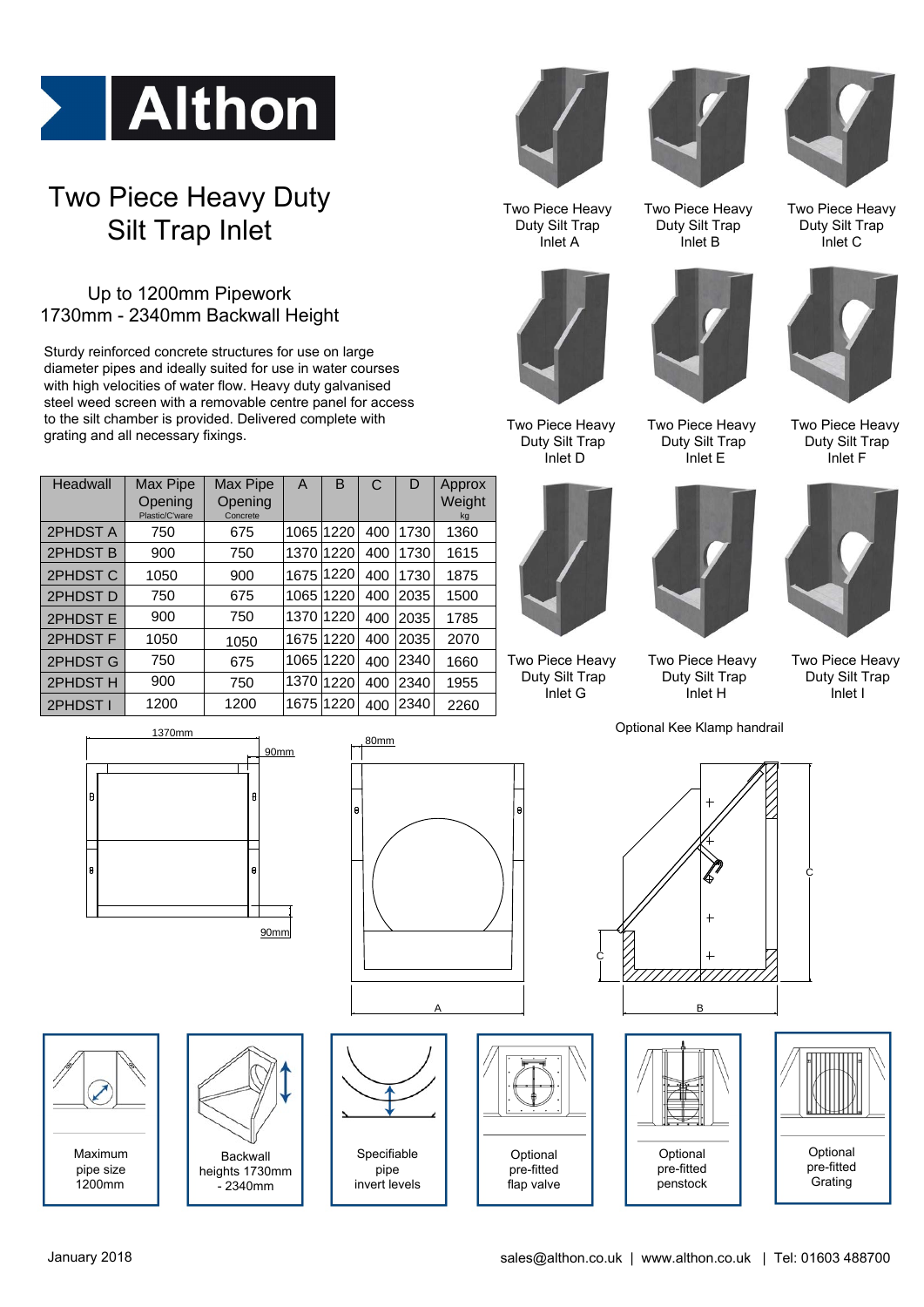

## Two Piece Heavy Duty Silt Trap Inlet

## Up to 1200mm Pipework 1730mm - 2340mm Backwall Height

Sturdy reinforced concrete structures for use on large diameter pipes and ideally suited for use in water courses With high velocities of water flow. Heavy duty galvanised<br>
steel weed screen with a removable centre panel for accordo<br>
to the silt chamber is provided. Delivered complete with<br>
grating and all necessary fixings.<br>
Headwall steel weed screen with a removable centre panel for access to the silt chamber is provided. Delivered complete with grating and all necessary fixings. The Concrete A B C D Approx<br>
Concrete A B C D Approx<br>
Concrete A B C D Approx<br>
Concrete Concrete A B C D Approx<br>
Popening Concrete A B C D Approx<br>
Concrete Register A B C D Approx<br>
Concrete Register A B C D Approx<br>
Concret

|          | grating and air necessary nangs.             |                                 |           |           |     |      |                        | Duty 9<br>In |
|----------|----------------------------------------------|---------------------------------|-----------|-----------|-----|------|------------------------|--------------|
| Headwall | Max Pipe<br><b>Opening</b><br>Plastic/C'ware | Max Pipe<br>Opening<br>Concrete | A         | B         | C   | D    | Approx<br>Weight<br>kg |              |
| 2PHDST A | 750                                          | 675                             | 1065      | 1220      | 400 | 1730 | 1360                   |              |
| 2PHDST B | 900                                          | 750                             | 1370      | 1220      | 400 | 1730 | 1615                   |              |
| 2PHDST C | 1050                                         | 900                             | 1675      | 1220      | 400 | 1730 | 1875                   |              |
| 2PHDST D | 750                                          | 675                             |           | 1065 1220 | 400 | 2035 | 1500                   |              |
| 2PHDST E | 900                                          | 750                             |           | 1370 1220 | 400 | 2035 | 1785                   |              |
| 2PHDST F | 1050                                         | 1050                            |           | 1675 1220 | 400 | 2035 | 2070                   |              |
| 2PHDST G | 750                                          | 675                             | 1065 1220 |           | 400 | 2340 | 1660                   | Two Pie      |
| 2PHDST H | 900                                          | 750                             | 1370      | 1220      | 400 | 2340 | 1955                   | Duty 9       |
| 2PHDST I | 1200                                         | 1200                            | 1675 1220 |           | 400 | 2340 | 2260                   | In           |



Two Piece Heavy Duty Silt Trap Inlet A



Two Piece Heavy Duty Silt Trap Inlet B



Two Piece Heavy Duty Silt Trap Inlet D



Two Piece Heavy Duty Silt Trap Inlet G



Two Piece Heavy Duty Silt Trap Inlet E



Two Piece Heavy Duty Silt Trap Inlet C



Two Piece Heavy Duty Silt Trap Inlet F



Two Piece Heavy Duty Silt Trap Inlet I

Optional Kee Klamp handrail

Duty Silt Trap



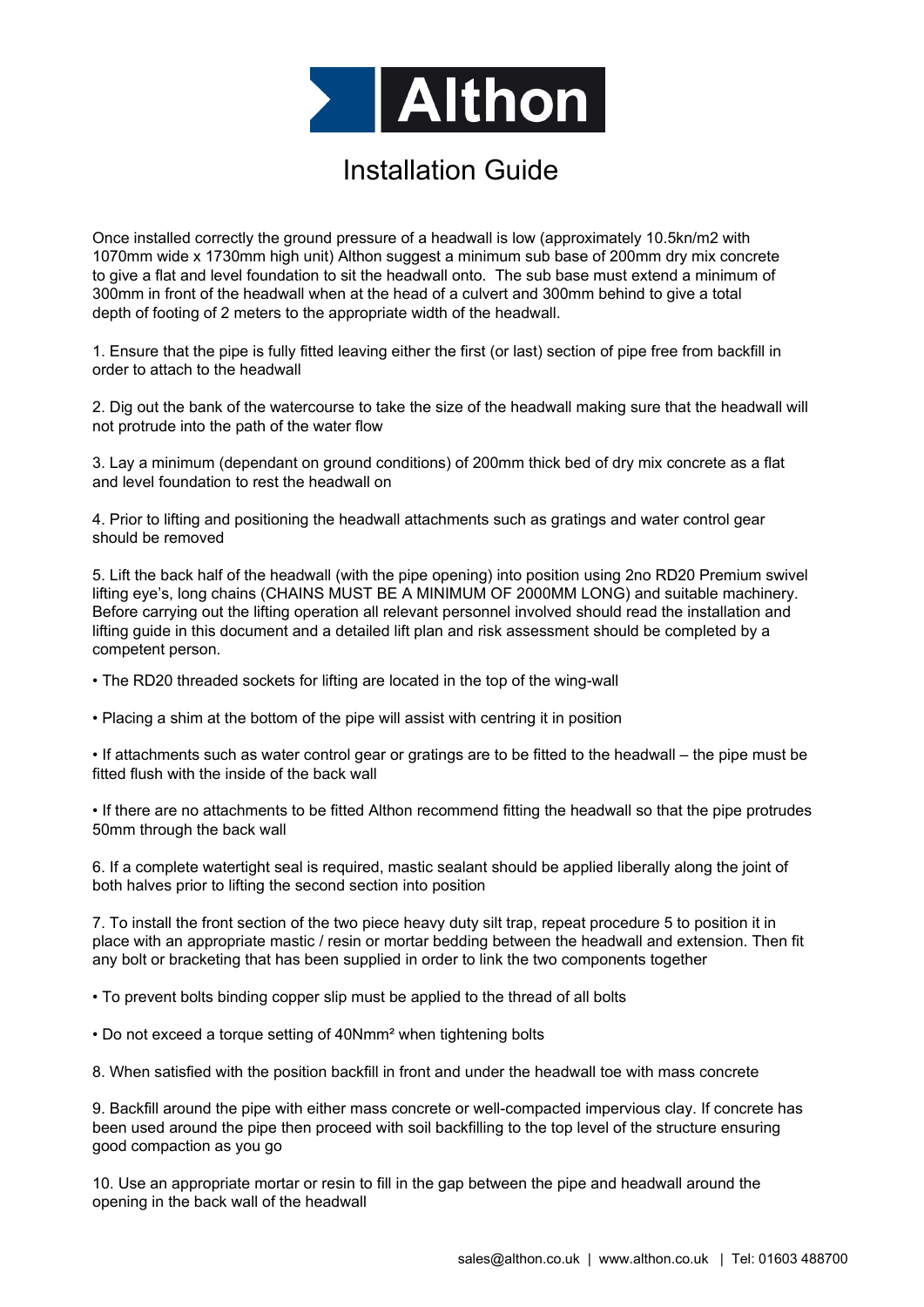

## Installation Guide

Once installed correctly the ground pressure of a headwall is low (approximately 10.5kn/m2 with 1070mm wide x 1730mm high unit) Althon suggest a minimum sub base of 200mm dry mix concrete to give a flat and level foundation to sit the headwall onto. The sub base must extend a minimum of 300mm in front of the headwall when at the head of a culvert and 300mm behind to give a total depth of footing of 2 meters to the appropriate width of the headwall.

1. Ensure that the pipe is fully fitted leaving either the first (or last) section of pipe free from backfill in order to attach to the headwall

2. Dig out the bank of the watercourse to take the size of the headwall making sure that the headwall will not protrude into the path of the water flow

3. Lay a minimum (dependant on ground conditions) of 200mm thick bed of dry mix concrete as a flat and level foundation to rest the headwall on

4. Prior to lifting and positioning the headwall attachments such as gratings and water control gear should be removed

5. Lift the back half of the headwall (with the pipe opening) into position using 2no RD20 Premium swivel lifting eye's, long chains (CHAINS MUST BE A MINIMUM OF 2000MM LONG) and suitable machinery. Before carrying out the lifting operation all relevant personnel involved should read the installation and lifting guide in this document and a detailed lift plan and risk assessment should be completed by a competent person.

• The RD20 threaded sockets for lifting are located in the top of the wing-wall

• Placing a shim at the bottom of the pipe will assist with centring it in position

• If attachments such as water control gear or gratings are to be fitted to the headwall – the pipe must be fitted flush with the inside of the back wall

• If there are no attachments to be fitted Althon recommend fitting the headwall so that the pipe protrudes 50mm through the back wall

6. If a complete watertight seal is required, mastic sealant should be applied liberally along the joint of both halves prior to lifting the second section into position

7. To install the front section of the two piece heavy duty silt trap, repeat procedure 5 to position it in place with an appropriate mastic / resin or mortar bedding between the headwall and extension. Then fit any bolt or bracketing that has been supplied in order to link the two components together

• To prevent bolts binding copper slip must be applied to the thread of all bolts

• Do not exceed a torque setting of 40Nmm² when tightening bolts

8. When satisfied with the position backfill in front and under the headwall toe with mass concrete

9. Backfill around the pipe with either mass concrete or well-compacted impervious clay. If concrete has been used around the pipe then proceed with soil backfilling to the top level of the structure ensuring good compaction as you go

10. Use an appropriate mortar or resin to fill in the gap between the pipe and headwall around the opening in the back wall of the headwall